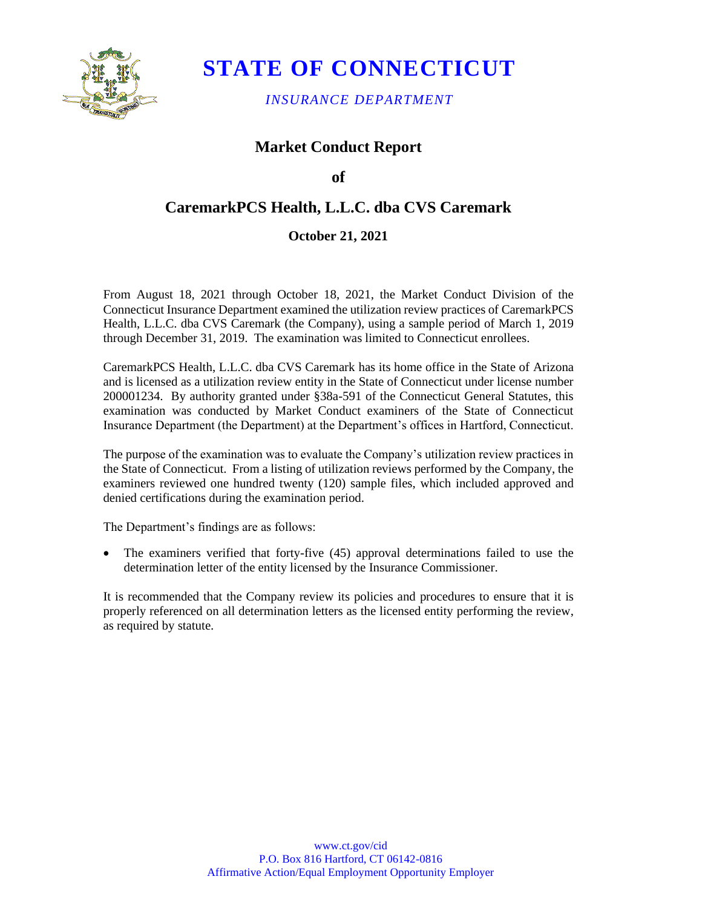

# **STATE OF CONNECTICUT**

*INSURANCE DEPARTMENT* 

## **Market Conduct Report**

### **of**

## **CaremarkPCS Health, L.L.C. dba CVS Caremark**

### **October 21, 2021**

 From August 18, 2021 through October 18, 2021, the Market Conduct Division of the Health, L.L.C. dba CVS Caremark (the Company), using a sample period of March 1, 2019 Connecticut Insurance Department examined the utilization review practices of CaremarkPCS through December 31, 2019. The examination was limited to Connecticut enrollees.

 200001234. By authority granted under §38a-591 of the Connecticut General Statutes, this examination was conducted by Market Conduct examiners of the State of Connecticut Insurance Department (the Department) at the Department's offices in Hartford, Connecticut. CaremarkPCS Health, L.L.C. dba CVS Caremark has its home office in the State of Arizona and is licensed as a utilization review entity in the State of Connecticut under license number

 The purpose of the examination was to evaluate the Company's utilization review practices in the State of Connecticut. From a listing of utilization reviews performed by the Company, the examiners reviewed one hundred twenty (120) sample files, which included approved and denied certifications during the examination period.

The Department's findings are as follows:

 • The examiners verified that forty-five (45) approval determinations failed to use the determination letter of the entity licensed by the Insurance Commissioner.

 It is recommended that the Company review its policies and procedures to ensure that it is properly referenced on all determination letters as the licensed entity performing the review, as required by statute.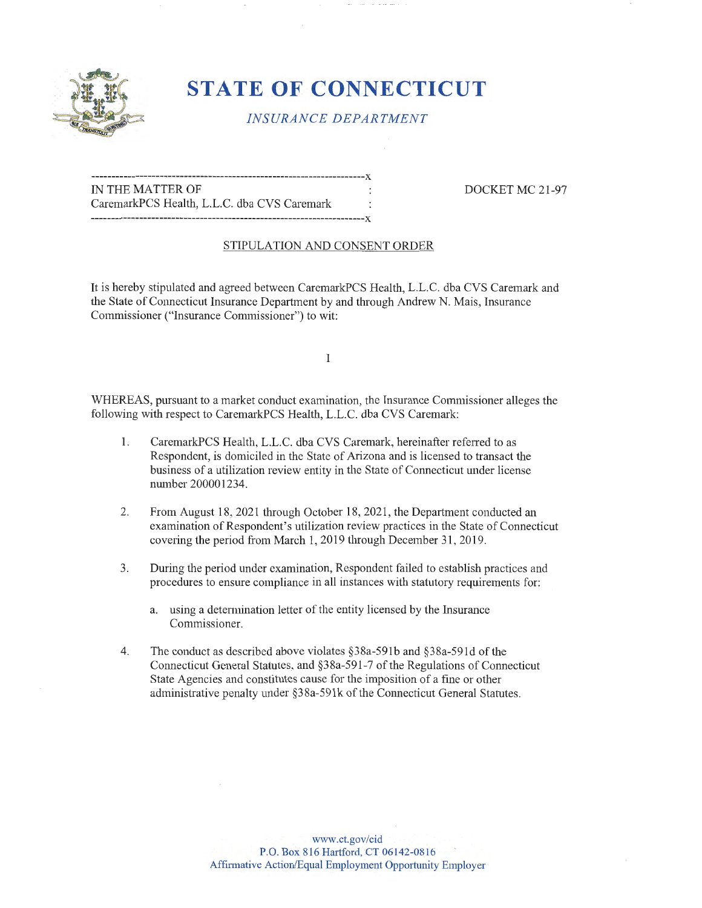

# **STATE OF CONNECTICUT**

*INSURANCE DEPARTMENT* 

--------------------------------------------------------------------x IN THE MATTER OF  $\qquad \qquad$ : DOCKET MC 21-97 CaremarkPCS Health, L.L.C. dba CVS Caremark --------------------------------------------------------------------x

#### STIPULATION AND CONSENT ORDER

It is hereby stipulated and agreed between CaremarkPCS Health, L.L.C. dba CVS Caremark and the State of Connecticut Insurance Department by and through Andrew N. Mais, Insurance Commissioner ("Insurance Commissioner") to wit:

I

WHEREAS, pursuant to a market conduct examination, the Insurance Commissioner alleges the following with respect to CaremarkPCS Health, L.L.C. dba CVS Caremark:

- 1. CaremarkPCS Health, L.L.C. dba CVS Caremark, hereinafter referred to as Respondent, is domiciled in the State of Arizona and is licensed to transact the business of a utilization review entity in the State of Connecticut under license number 200001234.
- 2. From August 18, 2021 through October 18, 2021, the Department conducted an examination of Respondent's utilization review practices in the State of Connecticut covering the period from March 1, 2019 through December 31, 2019.
- 3. During the period under examination, Respondent failed to establish practices and procedures to ensure compliance in all instances with statutory requirements for:
	- a. using a detennination letter of the entity licensed by the Insurance Commissioner.
- 4. The conduct as described above violates §38a-59lb and §38a-59ld of the Connecticut General Statutes, and §38a-59 l-7 of the Regulations of Connecticut State Agencies and constitutes cause for the imposition of a fine or other administrative penalty under §38a-59lk of the Connecticut General Statutes.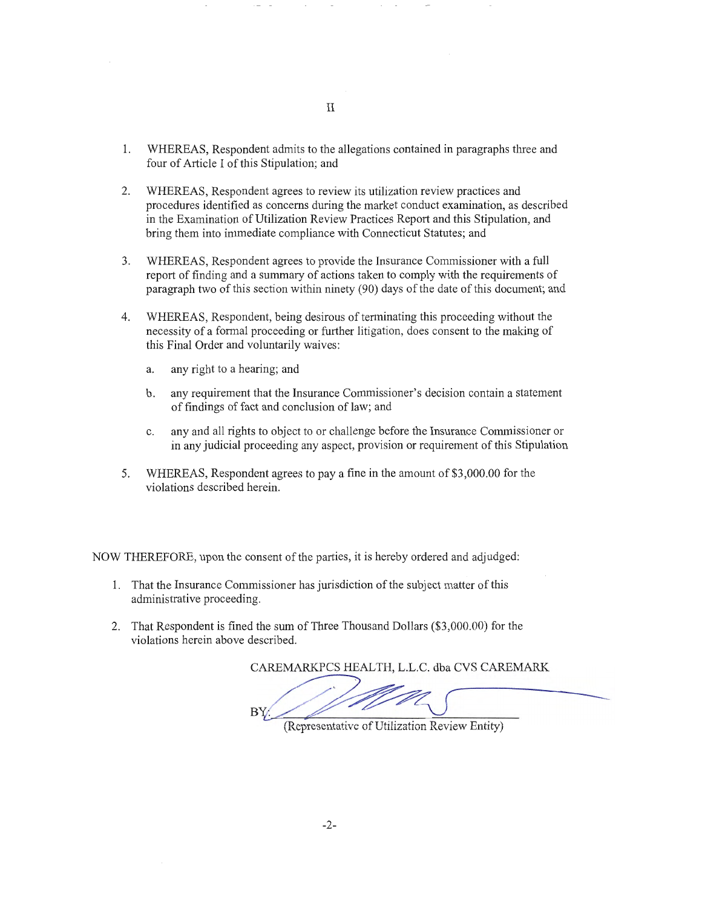- 1. WHEREAS, Respondent admits to the allegations contained in paragraphs three and four of Article I of this Stipulation; and
- 2. WHEREAS, Respondent agrees to review its utilization review practices and procedures identified as concerns during the market conduct examination, as described in the Examination of Utilization Review Practices Report and this Stipulation, and bring them into immediate compliance with Connecticut Statutes; and
- 3. WHEREAS, Respondent agrees to provide the Insurance Commissioner with a full report of finding and a summary of actions taken to comply with the requirements of paragraph two of this section within ninety (90) days of the date of this document; and
- 4. WHEREAS, Respondent, being desirous of terminating this proceeding without the necessity of a formal proceeding or further litigation, does consent to the making of this Final Order and voluntarily waives:
	- a. any right to a hearing; and
	- b. any requirement that the Insurance Commissioner's decision contain a statement of findings of fact and conclusion oflaw; and
	- c. any and all rights to object to or challenge before the Insurance Commissioner or in any judicial proceeding any aspect, provision or requirement of this Stipulation
- 5. WHEREAS, Respondent agrees to pay a fine in the amount of \$3,000.00 for the violations described herein.

NOW THEREFORE, upon the consent of the parties, it is hereby ordered and adjudged:

- 1. That the Insurance Commissioner has jurisdiction of the subject matter of this administrative proceeding.
- 2. That Respondent is fined the sum of Three Thousand Dollars (\$3,000.00) for the violations herein above described.

CAREMARKPCS HEALTH, L.L.C. dba CVS CAREMARK

 $\overline{\phantom{0}}$ 

(Representative of Utilization Review Entity)